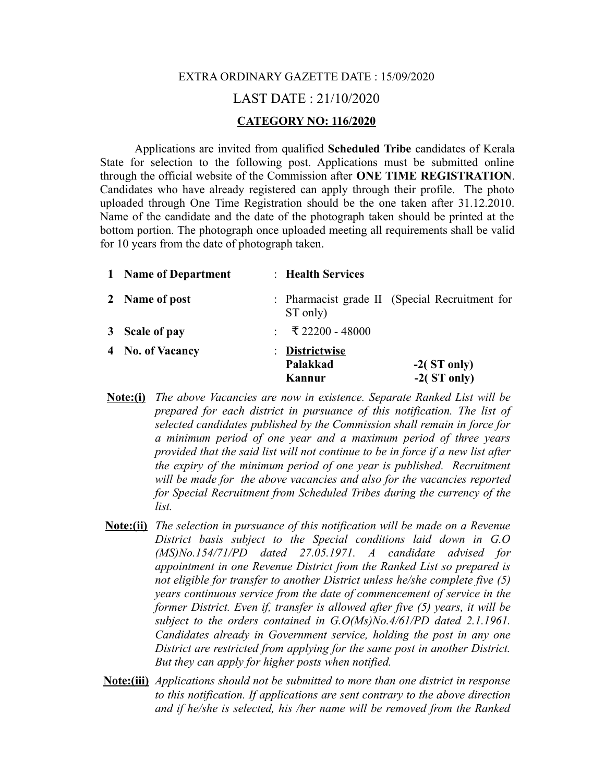## EXTRA ORDINARY GAZETTE DATE : 15/09/2020 LAST DATE : 21/10/2020 **CATEGORY NO: 116/2020**

Applications are invited from qualified **Scheduled Tribe** candidates of Kerala State for selection to the following post. Applications must be submitted online through the official website of the Commission after **ONE TIME REGISTRATION**. Candidates who have already registered can apply through their profile. The photo uploaded through One Time Registration should be the one taken after 31.12.2010. Name of the candidate and the date of the photograph taken should be printed at the bottom portion. The photograph once uploaded meeting all requirements shall be valid for 10 years from the date of photograph taken.

| 1 Name of Department | : Health Services                    |                                                |
|----------------------|--------------------------------------|------------------------------------------------|
| 2 Name of post       | ST only)                             | : Pharmacist grade II (Special Recruitment for |
| 3 Scale of pay       | : ₹22200 - 48000                     |                                                |
| 4 No. of Vacancy     | : Districtwise<br>Palakkad<br>Kannur | $-2$ (ST only)<br>$-2$ (ST only)               |

- **Note:(i)** *The above Vacancies are now in existence. Separate Ranked List will be prepared for each district in pursuance of this notification. The list of selected candidates published by the Commission shall remain in force for a minimum period of one year and a maximum period of three years provided that the said list will not continue to be in force if a new list after the expiry of the minimum period of one year is published. Recruitment will be made for the above vacancies and also for the vacancies reported for Special Recruitment from Scheduled Tribes during the currency of the list.*
- **Note:(ii)** *The selection in pursuance of this notification will be made on a Revenue District basis subject to the Special conditions laid down in G.O (MS)No.154/71/PD dated 27.05.1971. A candidate advised for appointment in one Revenue District from the Ranked List so prepared is not eligible for transfer to another District unless he/she complete five (5) years continuous service from the date of commencement of service in the former District. Even if, transfer is allowed after five (5) years, it will be subject to the orders contained in G.O(Ms)No.4/61/PD dated 2.1.1961. Candidates already in Government service, holding the post in any one District are restricted from applying for the same post in another District. But they can apply for higher posts when notified.*
- **Note:(iii)** *Applications should not be submitted to more than one district in response to this notification. If applications are sent contrary to the above direction and if he/she is selected, his /her name will be removed from the Ranked*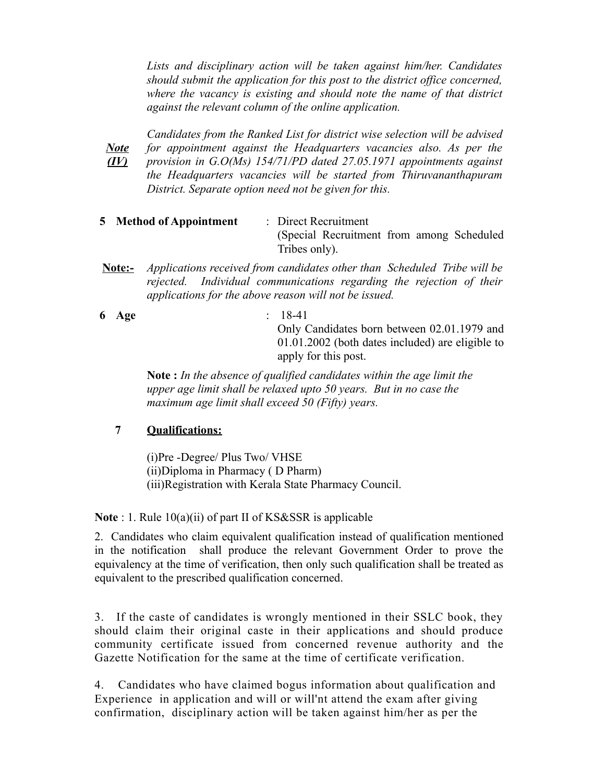*Lists and disciplinary action will be taken against him/her. Candidates should submit the application for this post to the district office concerned, where the vacancy is existing and should note the name of that district against the relevant column of the online application.*

*Note (IV) Candidates from the Ranked List for district wise selection will be advised for appointment against the Headquarters vacancies also. As per the provision in G.O(Ms) 154/71/PD dated 27.05.1971 appointments against the Headquarters vacancies will be started from Thiruvananthapuram District. Separate option need not be given for this.*

- **5 Method of Appointment** : Direct Recruitment (Special Recruitment from among Scheduled Tribes only).
- **Note:-** *Applications received from candidates other than Scheduled Tribe will be rejected. Individual communications regarding the rejection of their applications for the above reason will not be issued.*
- **6 Age** : 18-41 Only Candidates born between 02.01.1979 and 01.01.2002 (both dates included) are eligible to apply for this post.

**Note :** *In the absence of qualified candidates within the age limit the upper age limit shall be relaxed upto 50 years. But in no case the maximum age limit shall exceed 50 (Fifty) years.*

## **7 Qualifications:**

(i)Pre -Degree/ Plus Two/ VHSE (ii)Diploma in Pharmacy ( D Pharm) (iii)Registration with Kerala State Pharmacy Council.

**Note** : 1. Rule 10(a)(ii) of part II of KS&SSR is applicable

2. Candidates who claim equivalent qualification instead of qualification mentioned in the notification shall produce the relevant Government Order to prove the equivalency at the time of verification, then only such qualification shall be treated as equivalent to the prescribed qualification concerned.

3. If the caste of candidates is wrongly mentioned in their SSLC book, they should claim their original caste in their applications and should produce community certificate issued from concerned revenue authority and the Gazette Notification for the same at the time of certificate verification.

4. Candidates who have claimed bogus information about qualification and Experience in application and will or will'nt attend the exam after giving confirmation, disciplinary action will be taken against him/her as per the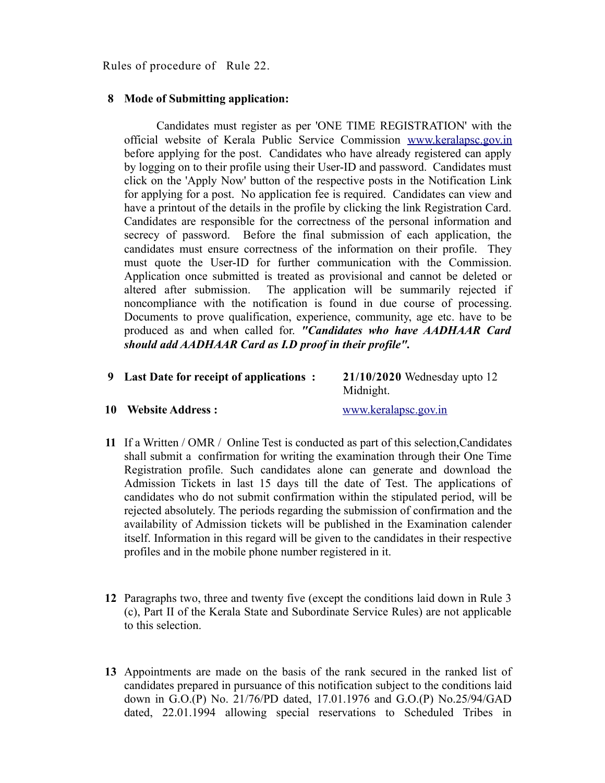Rules of procedure of Rule 22.

## **8 Mode of Submitting application:**

 Candidates must register as per 'ONE TIME REGISTRATION' with the official website of Kerala Public Service Commission [www.keralapsc.gov.in](http://www.keralapsc.gov.in/) before applying for the post. Candidates who have already registered can apply by logging on to their profile using their User-ID and password. Candidates must click on the 'Apply Now' button of the respective posts in the Notification Link for applying for a post. No application fee is required. Candidates can view and have a printout of the details in the profile by clicking the link Registration Card. Candidates are responsible for the correctness of the personal information and secrecy of password. Before the final submission of each application, the candidates must ensure correctness of the information on their profile. They must quote the User-ID for further communication with the Commission. Application once submitted is treated as provisional and cannot be deleted or altered after submission. The application will be summarily rejected if noncompliance with the notification is found in due course of processing. Documents to prove qualification, experience, community, age etc. have to be produced as and when called for. *"Candidates who have AADHAAR Card should add AADHAAR Card as I.D proof in their profile".* 

| 9 Last Date for receipt of applications : | $21/10/2020$ Wednesday upto 12 |
|-------------------------------------------|--------------------------------|
|                                           | Midnight.                      |

## **10 Website Address :** [www.keralapsc.gov.in](http://www.keralapsc.gov.in/)

- **11** If a Written / OMR / Online Test is conducted as part of this selection,Candidates shall submit a confirmation for writing the examination through their One Time Registration profile. Such candidates alone can generate and download the Admission Tickets in last 15 days till the date of Test. The applications of candidates who do not submit confirmation within the stipulated period, will be rejected absolutely. The periods regarding the submission of confirmation and the availability of Admission tickets will be published in the Examination calender itself. Information in this regard will be given to the candidates in their respective profiles and in the mobile phone number registered in it.
- **12** Paragraphs two, three and twenty five (except the conditions laid down in Rule 3 (c), Part II of the Kerala State and Subordinate Service Rules) are not applicable to this selection.
- **13** Appointments are made on the basis of the rank secured in the ranked list of candidates prepared in pursuance of this notification subject to the conditions laid down in G.O.(P) No. 21/76/PD dated, 17.01.1976 and G.O.(P) No.25/94/GAD dated, 22.01.1994 allowing special reservations to Scheduled Tribes in